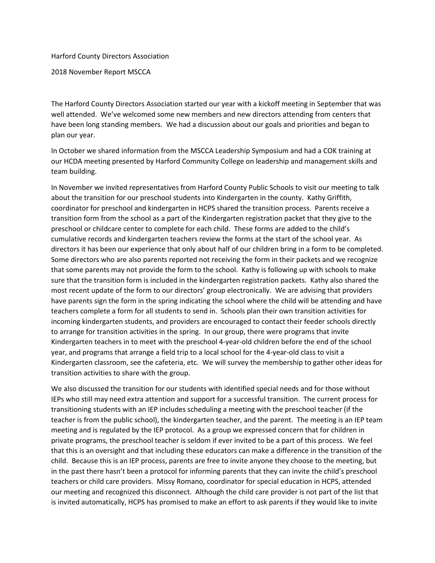Harford County Directors Association

2018 November Report MSCCA

The Harford County Directors Association started our year with a kickoff meeting in September that was well attended. We've welcomed some new members and new directors attending from centers that have been long standing members. We had a discussion about our goals and priorities and began to plan our year.

In October we shared information from the MSCCA Leadership Symposium and had a COK training at our HCDA meeting presented by Harford Community College on leadership and management skills and team building.

In November we invited representatives from Harford County Public Schools to visit our meeting to talk about the transition for our preschool students into Kindergarten in the county. Kathy Griffith, coordinator for preschool and kindergarten in HCPS shared the transition process. Parents receive a transition form from the school as a part of the Kindergarten registration packet that they give to the preschool or childcare center to complete for each child. These forms are added to the child's cumulative records and kindergarten teachers review the forms at the start of the school year. As directors it has been our experience that only about half of our children bring in a form to be completed. Some directors who are also parents reported not receiving the form in their packets and we recognize that some parents may not provide the form to the school. Kathy is following up with schools to make sure that the transition form is included in the kindergarten registration packets. Kathy also shared the most recent update of the form to our directors' group electronically. We are advising that providers have parents sign the form in the spring indicating the school where the child will be attending and have teachers complete a form for all students to send in. Schools plan their own transition activities for incoming kindergarten students, and providers are encouraged to contact their feeder schools directly to arrange for transition activities in the spring. In our group, there were programs that invite Kindergarten teachers in to meet with the preschool 4-year-old children before the end of the school year, and programs that arrange a field trip to a local school for the 4-year-old class to visit a Kindergarten classroom, see the cafeteria, etc. We will survey the membership to gather other ideas for transition activities to share with the group.

We also discussed the transition for our students with identified special needs and for those without IEPs who still may need extra attention and support for a successful transition. The current process for transitioning students with an IEP includes scheduling a meeting with the preschool teacher (if the teacher is from the public school), the kindergarten teacher, and the parent. The meeting is an IEP team meeting and is regulated by the IEP protocol. As a group we expressed concern that for children in private programs, the preschool teacher is seldom if ever invited to be a part of this process. We feel that this is an oversight and that including these educators can make a difference in the transition of the child. Because this is an IEP process, parents are free to invite anyone they choose to the meeting, but in the past there hasn't been a protocol for informing parents that they can invite the child's preschool teachers or child care providers. Missy Romano, coordinator for special education in HCPS, attended our meeting and recognized this disconnect. Although the child care provider is not part of the list that is invited automatically, HCPS has promised to make an effort to ask parents if they would like to invite